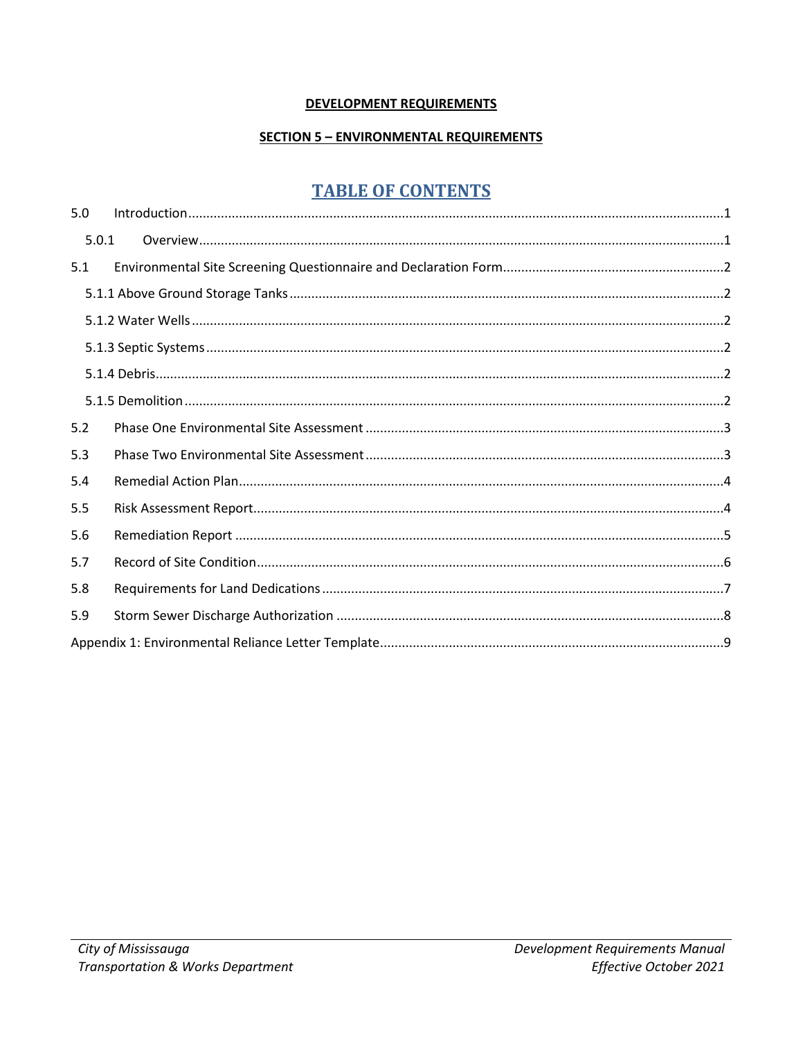#### **DEVELOPMENT REQUIREMENTS**

#### **SECTION 5 - ENVIRONMENTAL REQUIREMENTS**

# **TABLE OF CONTENTS**

| 5.0   |  |
|-------|--|
| 5.0.1 |  |
| 5.1   |  |
|       |  |
|       |  |
|       |  |
|       |  |
|       |  |
| 5.2   |  |
| 5.3   |  |
| 5.4   |  |
| 5.5   |  |
| 5.6   |  |
| 5.7   |  |
| 5.8   |  |
| 5.9   |  |
|       |  |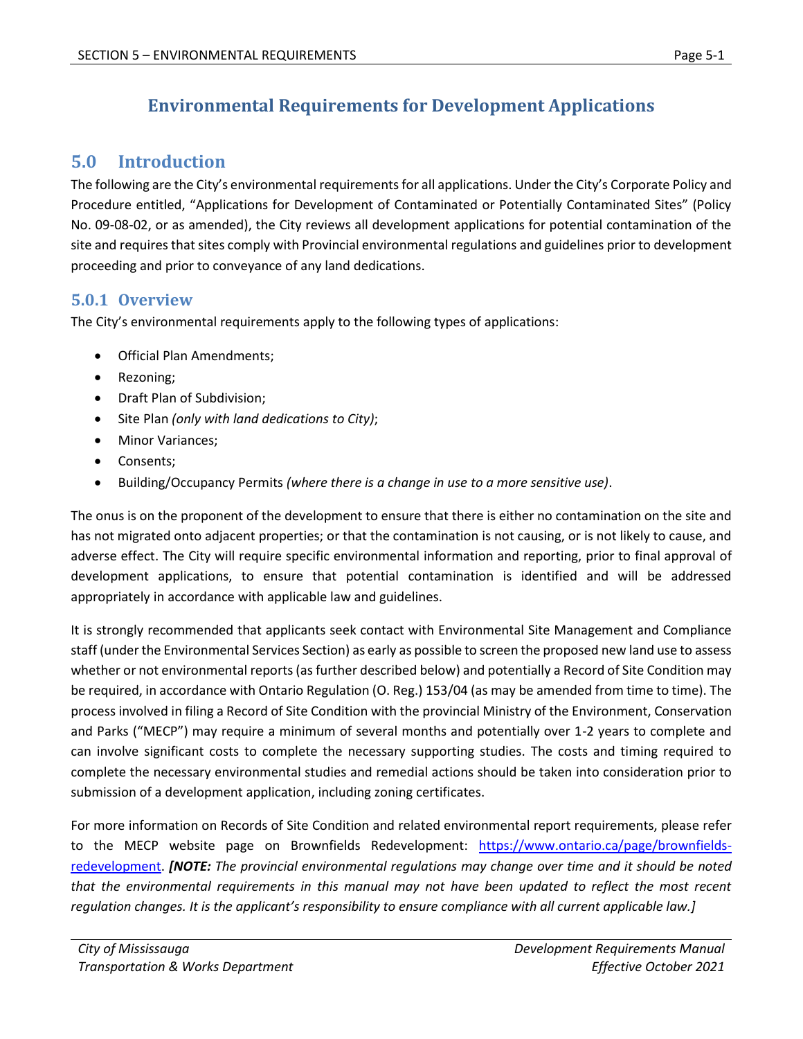# **Environmental Requirements for Development Applications**

## <span id="page-1-0"></span>**5.0 Introduction**

The following are the City's environmental requirements for all applications. Under the City's Corporate Policy and Procedure entitled, "Applications for Development of Contaminated or Potentially Contaminated Sites" (Policy No. 09-08-02, or as amended), the City reviews all development applications for potential contamination of the site and requires that sites comply with Provincial environmental regulations and guidelines prior to development proceeding and prior to conveyance of any land dedications.

### <span id="page-1-1"></span>**5.0.1 Overview**

The City's environmental requirements apply to the following types of applications:

- Official Plan Amendments;
- Rezoning:
- Draft Plan of Subdivision;
- Site Plan *(only with land dedications to City)*;
- Minor Variances;
- Consents;
- Building/Occupancy Permits *(where there is a change in use to a more sensitive use)*.

The onus is on the proponent of the development to ensure that there is either no contamination on the site and has not migrated onto adjacent properties; or that the contamination is not causing, or is not likely to cause, and adverse effect. The City will require specific environmental information and reporting, prior to final approval of development applications, to ensure that potential contamination is identified and will be addressed appropriately in accordance with applicable law and guidelines.

It is strongly recommended that applicants seek contact with Environmental Site Management and Compliance staff (under the Environmental Services Section) as early as possible to screen the proposed new land use to assess whether or not environmental reports (as further described below) and potentially a Record of Site Condition may be required, in accordance with Ontario Regulation (O. Reg.) 153/04 (as may be amended from time to time). The process involved in filing a Record of Site Condition with the provincial Ministry of the Environment, Conservation and Parks ("MECP") may require a minimum of several months and potentially over 1-2 years to complete and can involve significant costs to complete the necessary supporting studies. The costs and timing required to complete the necessary environmental studies and remedial actions should be taken into consideration prior to submission of a development application, including zoning certificates.

For more information on Records of Site Condition and related environmental report requirements, please refer to the MECP website page on Brownfields Redevelopment: [https://www.ontario.ca/page/brownfields](https://www.ontario.ca/page/brownfields-redevelopment)[redevelopment.](https://www.ontario.ca/page/brownfields-redevelopment) *[NOTE: The provincial environmental regulations may change over time and it should be noted that the environmental requirements in this manual may not have been updated to reflect the most recent regulation changes. It is the applicant's responsibility to ensure compliance with all current applicable law.]*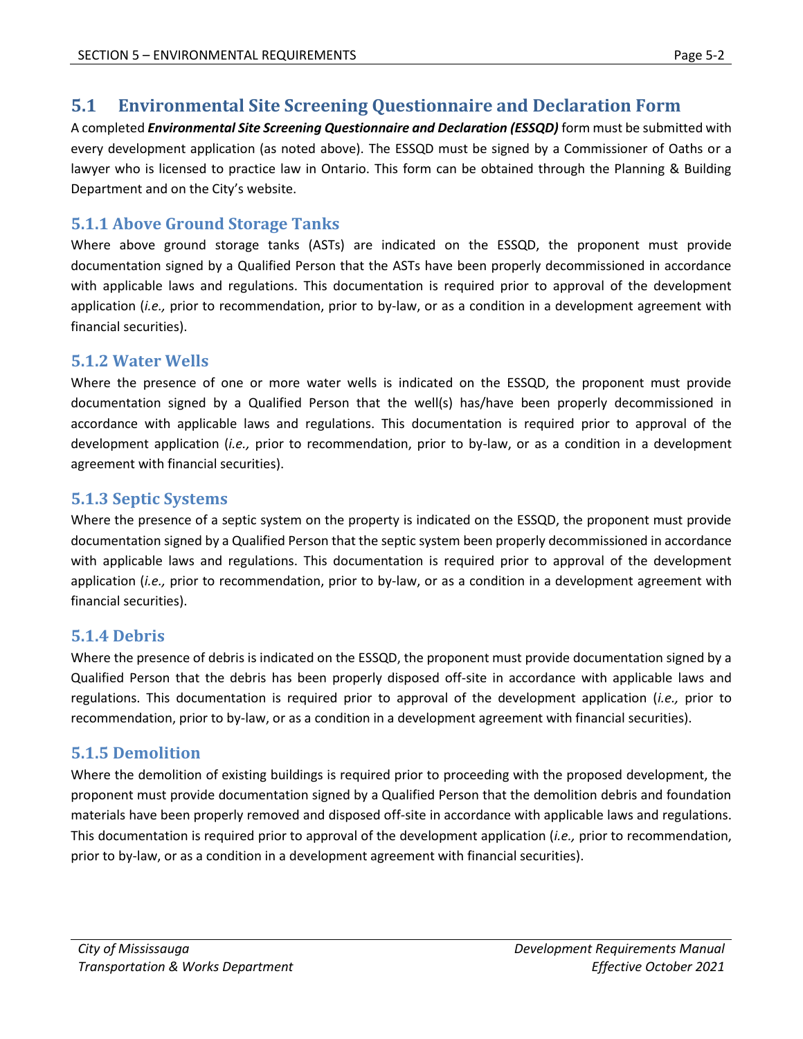## <span id="page-2-0"></span>**5.1 Environmental Site Screening Questionnaire and Declaration Form**

A completed *Environmental Site Screening Questionnaire and Declaration (ESSQD)* form must be submitted with every development application (as noted above). The ESSQD must be signed by a Commissioner of Oaths or a lawyer who is licensed to practice law in Ontario. This form can be obtained through the Planning & Building Department and on the City's website.

### <span id="page-2-1"></span>**5.1.1 Above Ground Storage Tanks**

Where above ground storage tanks (ASTs) are indicated on the ESSQD, the proponent must provide documentation signed by a Qualified Person that the ASTs have been properly decommissioned in accordance with applicable laws and regulations. This documentation is required prior to approval of the development application (*i.e.,* prior to recommendation, prior to by-law, or as a condition in a development agreement with financial securities).

#### <span id="page-2-2"></span>**5.1.2 Water Wells**

Where the presence of one or more water wells is indicated on the ESSQD, the proponent must provide documentation signed by a Qualified Person that the well(s) has/have been properly decommissioned in accordance with applicable laws and regulations. This documentation is required prior to approval of the development application (*i.e.,* prior to recommendation, prior to by-law, or as a condition in a development agreement with financial securities).

### <span id="page-2-3"></span>**5.1.3 Septic Systems**

Where the presence of a septic system on the property is indicated on the ESSQD, the proponent must provide documentation signed by a Qualified Person that the septic system been properly decommissioned in accordance with applicable laws and regulations. This documentation is required prior to approval of the development application (*i.e.,* prior to recommendation, prior to by-law, or as a condition in a development agreement with financial securities).

## <span id="page-2-4"></span>**5.1.4 Debris**

Where the presence of debris is indicated on the ESSQD, the proponent must provide documentation signed by a Qualified Person that the debris has been properly disposed off-site in accordance with applicable laws and regulations. This documentation is required prior to approval of the development application (*i.e.,* prior to recommendation, prior to by-law, or as a condition in a development agreement with financial securities).

## <span id="page-2-5"></span>**5.1.5 Demolition**

Where the demolition of existing buildings is required prior to proceeding with the proposed development, the proponent must provide documentation signed by a Qualified Person that the demolition debris and foundation materials have been properly removed and disposed off-site in accordance with applicable laws and regulations. This documentation is required prior to approval of the development application (*i.e.,* prior to recommendation, prior to by-law, or as a condition in a development agreement with financial securities).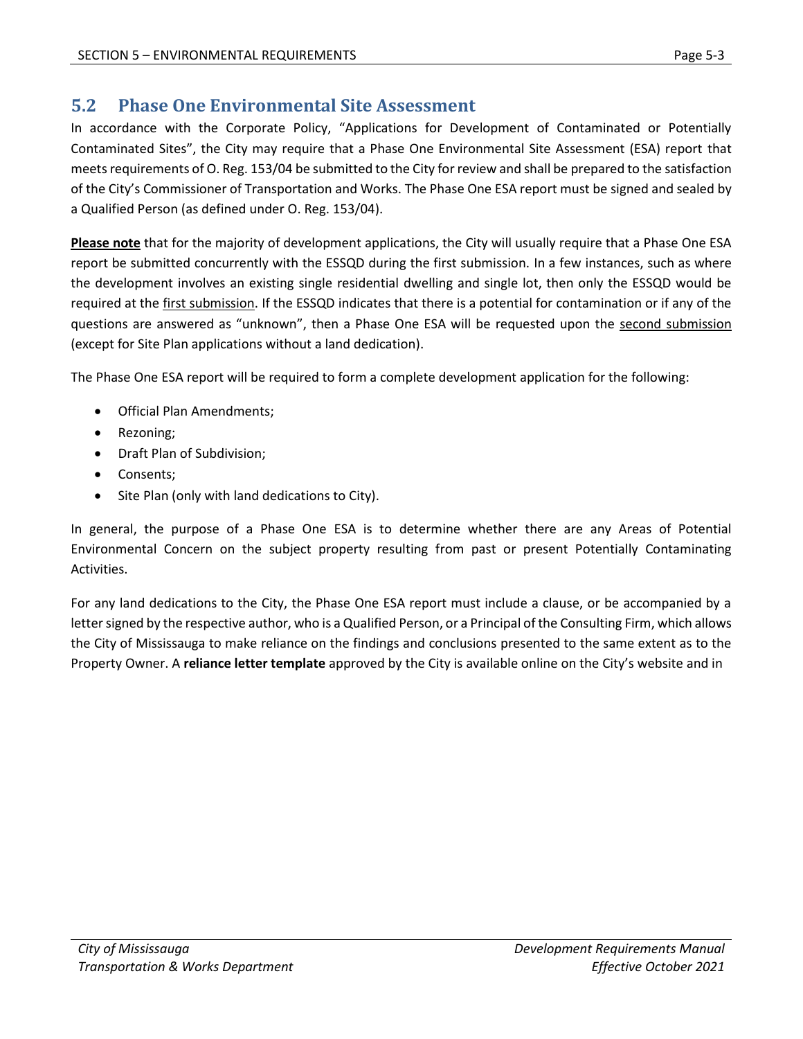## <span id="page-3-0"></span>**5.2 Phase One Environmental Site Assessment**

In accordance with the Corporate Policy, "Applications for Development of Contaminated or Potentially Contaminated Sites", the City may require that a Phase One Environmental Site Assessment (ESA) report that meets requirements of O. Reg. 153/04 be submitted to the City for review and shall be prepared to the satisfaction of the City's Commissioner of Transportation and Works. The Phase One ESA report must be signed and sealed by a Qualified Person (as defined under O. Reg. 153/04).

**Please note** that for the majority of development applications, the City will usually require that a Phase One ESA report be submitted concurrently with the ESSQD during the first submission. In a few instances, such as where the development involves an existing single residential dwelling and single lot, then only the ESSQD would be required at the first submission. If the ESSQD indicates that there is a potential for contamination or if any of the questions are answered as "unknown", then a Phase One ESA will be requested upon the second submission (except for Site Plan applications without a land dedication).

The Phase One ESA report will be required to form a complete development application for the following:

- Official Plan Amendments;
- Rezoning;
- Draft Plan of Subdivision;
- Consents:
- Site Plan (only with land dedications to City).

In general, the purpose of a Phase One ESA is to determine whether there are any Areas of Potential Environmental Concern on the subject property resulting from past or present Potentially Contaminating Activities.

For any land dedications to the City, the Phase One ESA report must include a clause, or be accompanied by a letter signed by the respective author, who is a Qualified Person, or a Principal of the Consulting Firm, which allows the City of Mississauga to make reliance on the findings and conclusions presented to the same extent as to the Property Owner. A **reliance letter template** approved by the City is available online on the City's website and i[n](#page-10-0)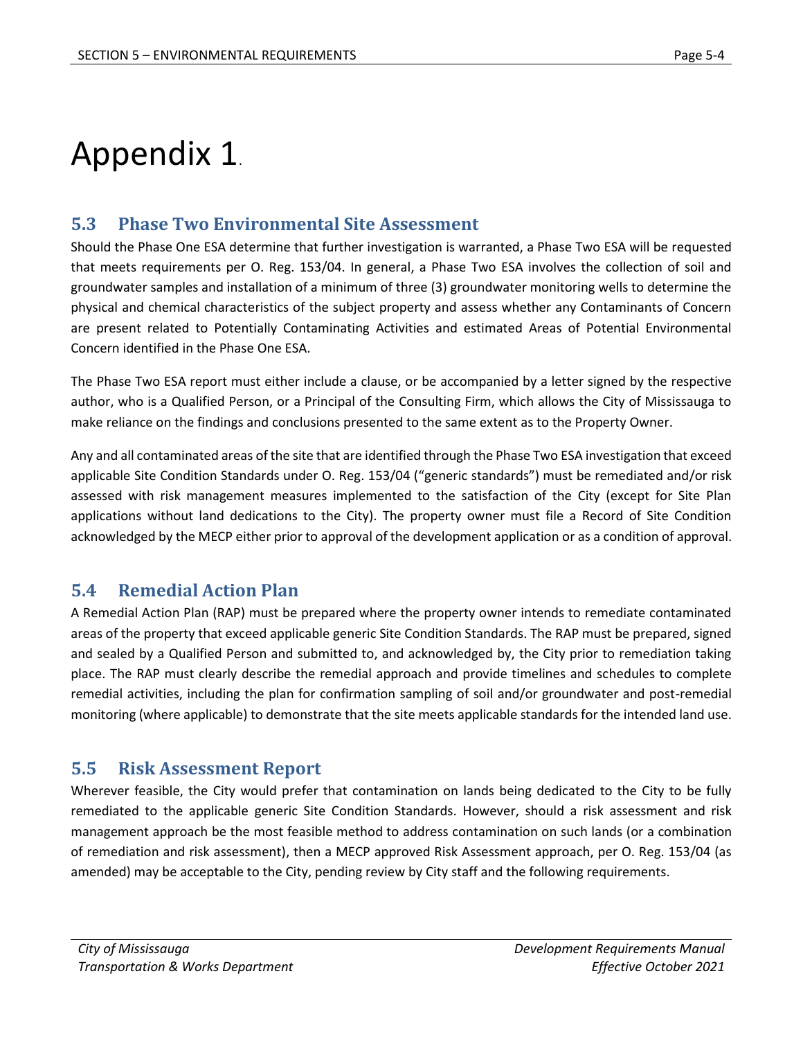# [Appendix 1](#page-10-0).

## <span id="page-4-0"></span>**5.3 Phase Two Environmental Site Assessment**

Should the Phase One ESA determine that further investigation is warranted, a Phase Two ESA will be requested that meets requirements per O. Reg. 153/04. In general, a Phase Two ESA involves the collection of soil and groundwater samples and installation of a minimum of three (3) groundwater monitoring wells to determine the physical and chemical characteristics of the subject property and assess whether any Contaminants of Concern are present related to Potentially Contaminating Activities and estimated Areas of Potential Environmental Concern identified in the Phase One ESA.

The Phase Two ESA report must either include a clause, or be accompanied by a letter signed by the respective author, who is a Qualified Person, or a Principal of the Consulting Firm, which allows the City of Mississauga to make reliance on the findings and conclusions presented to the same extent as to the Property Owner.

Any and all contaminated areas of the site that are identified through the Phase Two ESA investigation that exceed applicable Site Condition Standards under O. Reg. 153/04 ("generic standards") must be remediated and/or risk assessed with risk management measures implemented to the satisfaction of the City (except for Site Plan applications without land dedications to the City). The property owner must file a Record of Site Condition acknowledged by the MECP either prior to approval of the development application or as a condition of approval.

## <span id="page-4-1"></span>**5.4 Remedial Action Plan**

A Remedial Action Plan (RAP) must be prepared where the property owner intends to remediate contaminated areas of the property that exceed applicable generic Site Condition Standards. The RAP must be prepared, signed and sealed by a Qualified Person and submitted to, and acknowledged by, the City prior to remediation taking place. The RAP must clearly describe the remedial approach and provide timelines and schedules to complete remedial activities, including the plan for confirmation sampling of soil and/or groundwater and post-remedial monitoring (where applicable) to demonstrate that the site meets applicable standards for the intended land use.

## <span id="page-4-2"></span>**5.5 Risk Assessment Report**

Wherever feasible, the City would prefer that contamination on lands being dedicated to the City to be fully remediated to the applicable generic Site Condition Standards. However, should a risk assessment and risk management approach be the most feasible method to address contamination on such lands (or a combination of remediation and risk assessment), then a MECP approved Risk Assessment approach, per O. Reg. 153/04 (as amended) may be acceptable to the City, pending review by City staff and the following requirements.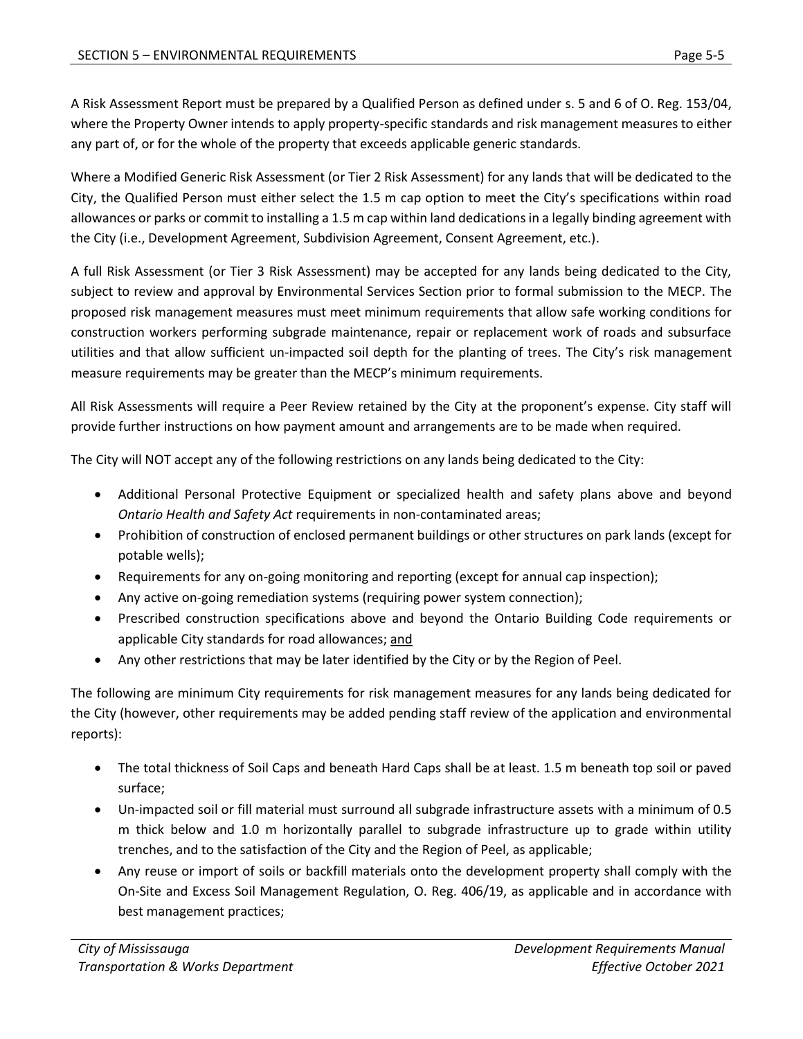A Risk Assessment Report must be prepared by a Qualified Person as defined under s. 5 and 6 of O. Reg. 153/04, where the Property Owner intends to apply property-specific standards and risk management measures to either any part of, or for the whole of the property that exceeds applicable generic standards.

Where a Modified Generic Risk Assessment (or Tier 2 Risk Assessment) for any lands that will be dedicated to the City, the Qualified Person must either select the 1.5 m cap option to meet the City's specifications within road allowances or parks or commit to installing a 1.5 m cap within land dedications in a legally binding agreement with the City (i.e., Development Agreement, Subdivision Agreement, Consent Agreement, etc.).

A full Risk Assessment (or Tier 3 Risk Assessment) may be accepted for any lands being dedicated to the City, subject to review and approval by Environmental Services Section prior to formal submission to the MECP. The proposed risk management measures must meet minimum requirements that allow safe working conditions for construction workers performing subgrade maintenance, repair or replacement work of roads and subsurface utilities and that allow sufficient un-impacted soil depth for the planting of trees. The City's risk management measure requirements may be greater than the MECP's minimum requirements.

All Risk Assessments will require a Peer Review retained by the City at the proponent's expense. City staff will provide further instructions on how payment amount and arrangements are to be made when required.

The City will NOT accept any of the following restrictions on any lands being dedicated to the City:

- Additional Personal Protective Equipment or specialized health and safety plans above and beyond *Ontario Health and Safety Act* requirements in non-contaminated areas;
- Prohibition of construction of enclosed permanent buildings or other structures on park lands (except for potable wells);
- Requirements for any on-going monitoring and reporting (except for annual cap inspection);
- Any active on-going remediation systems (requiring power system connection);
- Prescribed construction specifications above and beyond the Ontario Building Code requirements or applicable City standards for road allowances; and
- Any other restrictions that may be later identified by the City or by the Region of Peel.

The following are minimum City requirements for risk management measures for any lands being dedicated for the City (however, other requirements may be added pending staff review of the application and environmental reports):

- The total thickness of Soil Caps and beneath Hard Caps shall be at least. 1.5 m beneath top soil or paved surface;
- Un-impacted soil or fill material must surround all subgrade infrastructure assets with a minimum of 0.5 m thick below and 1.0 m horizontally parallel to subgrade infrastructure up to grade within utility trenches, and to the satisfaction of the City and the Region of Peel, as applicable;
- Any reuse or import of soils or backfill materials onto the development property shall comply with the On-Site and Excess Soil Management Regulation, O. Reg. 406/19, as applicable and in accordance with best management practices;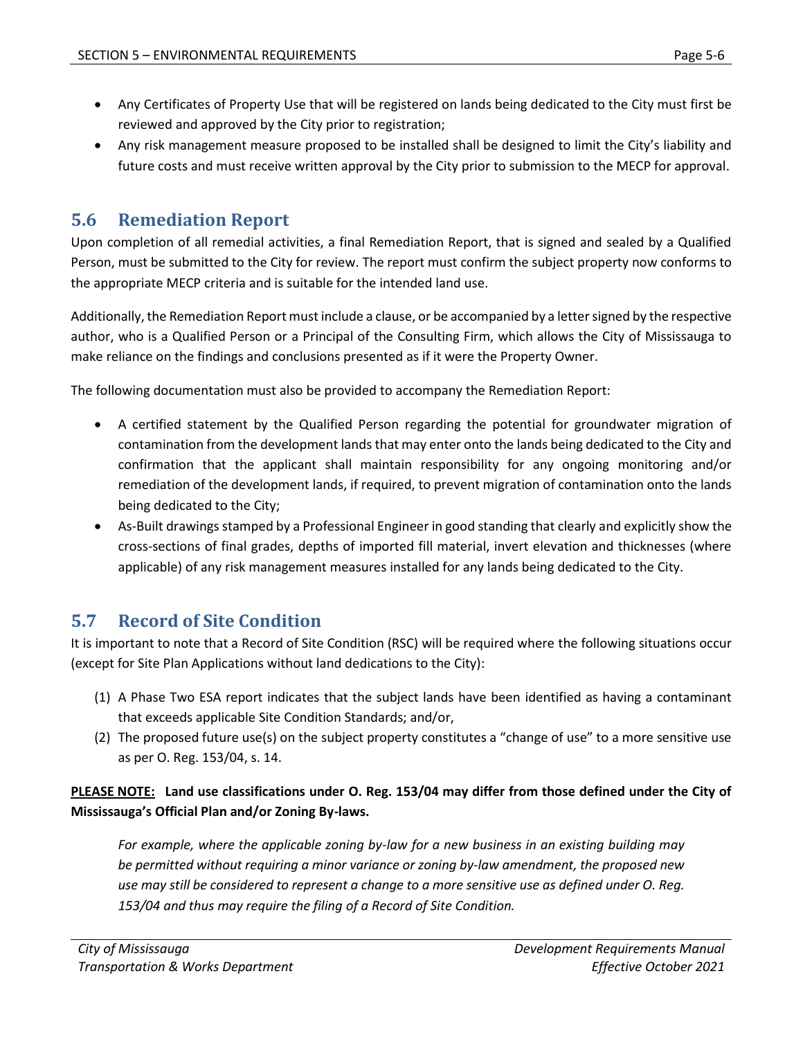- Any Certificates of Property Use that will be registered on lands being dedicated to the City must first be reviewed and approved by the City prior to registration;
- Any risk management measure proposed to be installed shall be designed to limit the City's liability and future costs and must receive written approval by the City prior to submission to the MECP for approval.

## <span id="page-6-0"></span>**5.6 Remediation Report**

Upon completion of all remedial activities, a final Remediation Report, that is signed and sealed by a Qualified Person, must be submitted to the City for review. The report must confirm the subject property now conforms to the appropriate MECP criteria and is suitable for the intended land use.

Additionally, the Remediation Report must include a clause, or be accompanied by a letter signed by the respective author, who is a Qualified Person or a Principal of the Consulting Firm, which allows the City of Mississauga to make reliance on the findings and conclusions presented as if it were the Property Owner.

The following documentation must also be provided to accompany the Remediation Report:

- A certified statement by the Qualified Person regarding the potential for groundwater migration of contamination from the development lands that may enter onto the lands being dedicated to the City and confirmation that the applicant shall maintain responsibility for any ongoing monitoring and/or remediation of the development lands, if required, to prevent migration of contamination onto the lands being dedicated to the City;
- As-Built drawings stamped by a Professional Engineer in good standing that clearly and explicitly show the cross-sections of final grades, depths of imported fill material, invert elevation and thicknesses (where applicable) of any risk management measures installed for any lands being dedicated to the City.

# <span id="page-6-1"></span>**5.7 Record of Site Condition**

It is important to note that a Record of Site Condition (RSC) will be required where the following situations occur (except for Site Plan Applications without land dedications to the City):

- (1) A Phase Two ESA report indicates that the subject lands have been identified as having a contaminant that exceeds applicable Site Condition Standards; and/or,
- (2) The proposed future use(s) on the subject property constitutes a "change of use" to a more sensitive use as per O. Reg. 153/04, s. 14.

#### **PLEASE NOTE: Land use classifications under O. Reg. 153/04 may differ from those defined under the City of Mississauga's Official Plan and/or Zoning By-laws.**

*For example, where the applicable zoning by-law for a new business in an existing building may be permitted without requiring a minor variance or zoning by-law amendment, the proposed new use may still be considered to represent a change to a more sensitive use as defined under O. Reg. 153/04 and thus may require the filing of a Record of Site Condition.*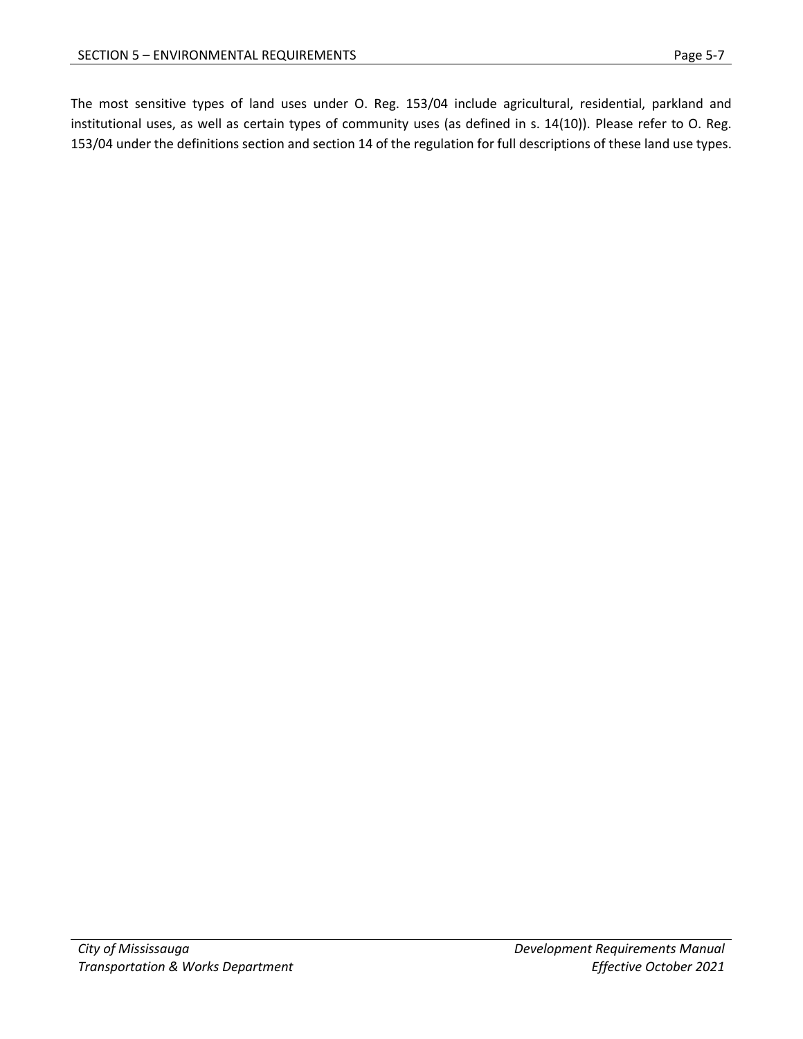The most sensitive types of land uses under O. Reg. 153/04 include agricultural, residential, parkland and institutional uses, as well as certain types of community uses (as defined in s. 14(10)). Please refer to O. Reg. 153/04 under the definitions section and section 14 of the regulation for full descriptions of these land use types.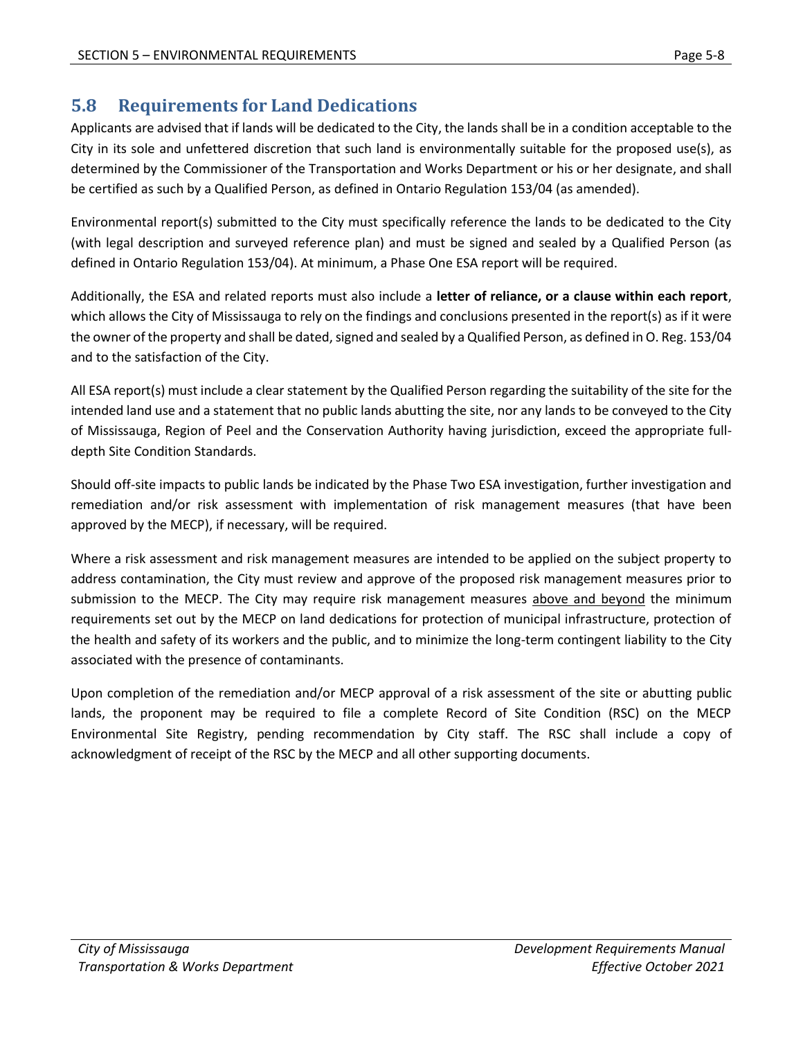# <span id="page-8-0"></span>**5.8 Requirements for Land Dedications**

Applicants are advised that if lands will be dedicated to the City, the lands shall be in a condition acceptable to the City in its sole and unfettered discretion that such land is environmentally suitable for the proposed use(s), as determined by the Commissioner of the Transportation and Works Department or his or her designate, and shall be certified as such by a Qualified Person, as defined in Ontario Regulation 153/04 (as amended).

Environmental report(s) submitted to the City must specifically reference the lands to be dedicated to the City (with legal description and surveyed reference plan) and must be signed and sealed by a Qualified Person (as defined in Ontario Regulation 153/04). At minimum, a Phase One ESA report will be required.

Additionally, the ESA and related reports must also include a **letter of reliance, or a clause within each report**, which allows the City of Mississauga to rely on the findings and conclusions presented in the report(s) as if it were the owner of the property and shall be dated, signed and sealed by a Qualified Person, as defined in O. Reg. 153/04 and to the satisfaction of the City.

All ESA report(s) must include a clear statement by the Qualified Person regarding the suitability of the site for the intended land use and a statement that no public lands abutting the site, nor any lands to be conveyed to the City of Mississauga, Region of Peel and the Conservation Authority having jurisdiction, exceed the appropriate fulldepth Site Condition Standards.

Should off-site impacts to public lands be indicated by the Phase Two ESA investigation, further investigation and remediation and/or risk assessment with implementation of risk management measures (that have been approved by the MECP), if necessary, will be required.

Where a risk assessment and risk management measures are intended to be applied on the subject property to address contamination, the City must review and approve of the proposed risk management measures prior to submission to the MECP. The City may require risk management measures above and beyond the minimum requirements set out by the MECP on land dedications for protection of municipal infrastructure, protection of the health and safety of its workers and the public, and to minimize the long-term contingent liability to the City associated with the presence of contaminants.

Upon completion of the remediation and/or MECP approval of a risk assessment of the site or abutting public lands, the proponent may be required to file a complete Record of Site Condition (RSC) on the MECP Environmental Site Registry, pending recommendation by City staff. The RSC shall include a copy of acknowledgment of receipt of the RSC by the MECP and all other supporting documents.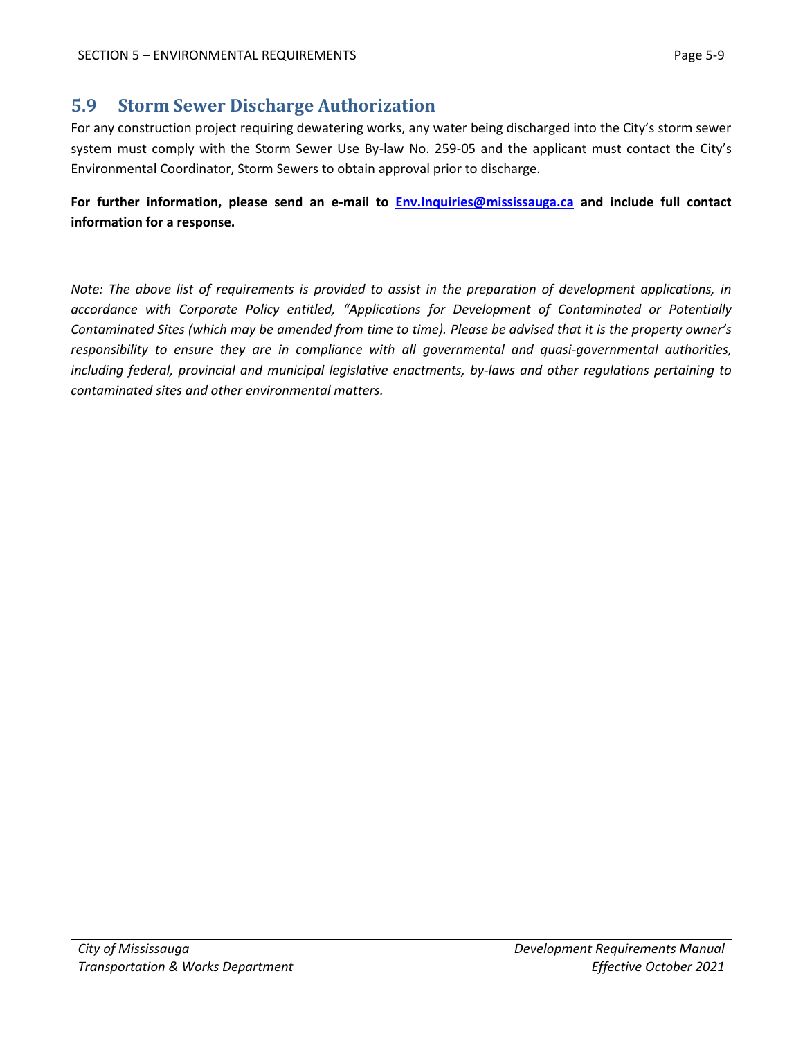# <span id="page-9-0"></span>**5.9 Storm Sewer Discharge Authorization**

For any construction project requiring dewatering works, any water being discharged into the City's storm sewer system must comply with the Storm Sewer Use By-law No. 259-05 and the applicant must contact the City's Environmental Coordinator, Storm Sewers to obtain approval prior to discharge.

**For further information, please send an e-mail to [Env.Inquiries@mississauga.ca](mailto:Env.Inquiries@mississauga.ca) and include full contact information for a response.**

*Note: The above list of requirements is provided to assist in the preparation of development applications, in accordance with Corporate Policy entitled, "Applications for Development of Contaminated or Potentially Contaminated Sites (which may be amended from time to time). Please be advised that it is the property owner's responsibility to ensure they are in compliance with all governmental and quasi-governmental authorities, including federal, provincial and municipal legislative enactments, by-laws and other regulations pertaining to contaminated sites and other environmental matters.*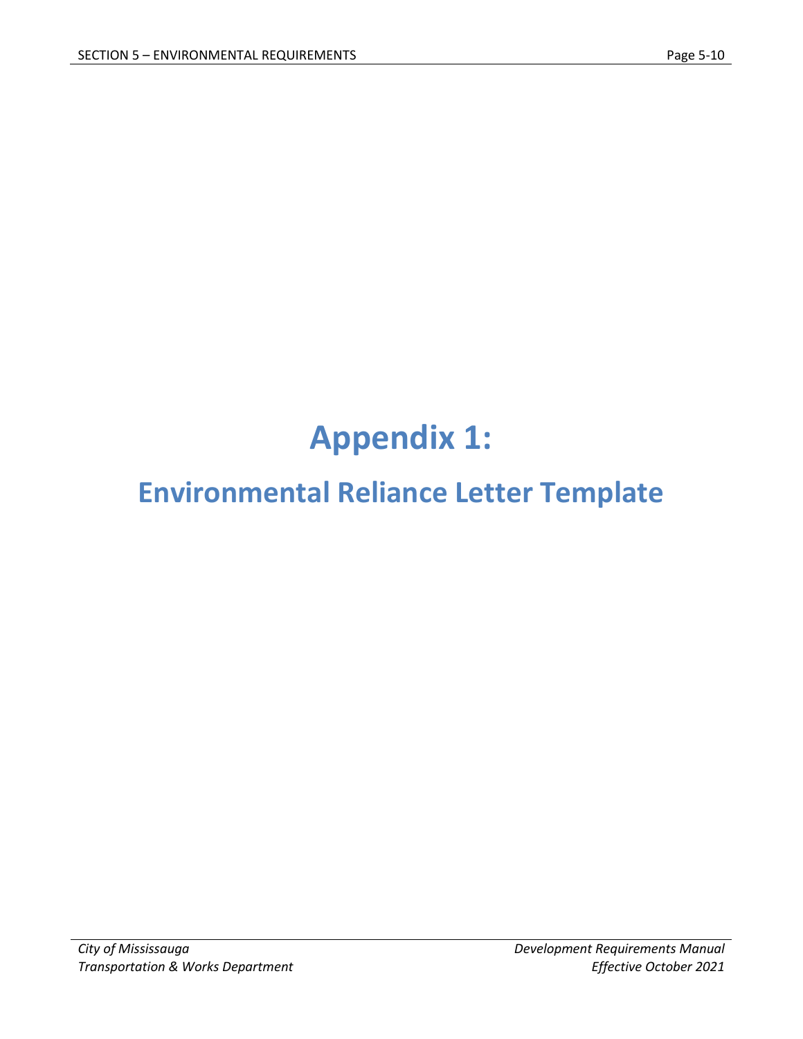# **Appendix 1:**

# <span id="page-10-0"></span>**Environmental Reliance Letter Template**